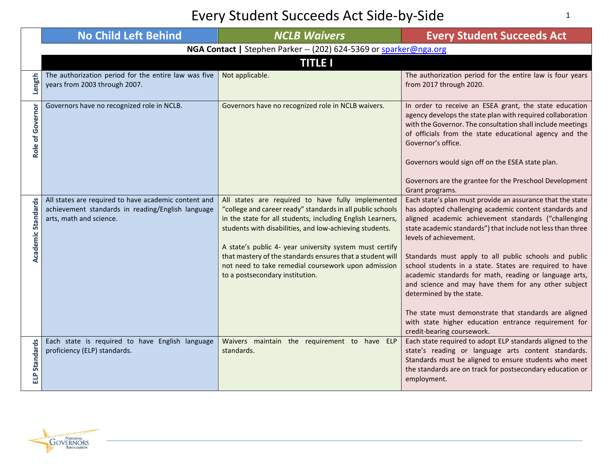|                          | <b>No Child Left Behind</b>                                                                                                          | <b>NCLB Waivers</b>                                                                                                                                                                                                                                                                                                                                                                                                                                        | <b>Every Student Succeeds Act</b>                                                                                                                                                                                                                                                                                                                                                                                                                                                                                                                                                                                                                                                     |
|--------------------------|--------------------------------------------------------------------------------------------------------------------------------------|------------------------------------------------------------------------------------------------------------------------------------------------------------------------------------------------------------------------------------------------------------------------------------------------------------------------------------------------------------------------------------------------------------------------------------------------------------|---------------------------------------------------------------------------------------------------------------------------------------------------------------------------------------------------------------------------------------------------------------------------------------------------------------------------------------------------------------------------------------------------------------------------------------------------------------------------------------------------------------------------------------------------------------------------------------------------------------------------------------------------------------------------------------|
|                          |                                                                                                                                      | NGA Contact   Stephen Parker -- (202) 624-5369 or sparker@nga.org                                                                                                                                                                                                                                                                                                                                                                                          |                                                                                                                                                                                                                                                                                                                                                                                                                                                                                                                                                                                                                                                                                       |
|                          |                                                                                                                                      | <b>TITLE I</b>                                                                                                                                                                                                                                                                                                                                                                                                                                             |                                                                                                                                                                                                                                                                                                                                                                                                                                                                                                                                                                                                                                                                                       |
| Length                   | The authorization period for the entire law was five<br>years from 2003 through 2007.                                                | Not applicable.                                                                                                                                                                                                                                                                                                                                                                                                                                            | The authorization period for the entire law is four years<br>from 2017 through 2020.                                                                                                                                                                                                                                                                                                                                                                                                                                                                                                                                                                                                  |
| Role of Governor         | Governors have no recognized role in NCLB.                                                                                           | Governors have no recognized role in NCLB waivers.                                                                                                                                                                                                                                                                                                                                                                                                         | In order to receive an ESEA grant, the state education<br>agency develops the state plan with required collaboration<br>with the Governor. The consultation shall include meetings<br>of officials from the state educational agency and the<br>Governor's office.<br>Governors would sign off on the ESEA state plan.<br>Governors are the grantee for the Preschool Development<br>Grant programs.                                                                                                                                                                                                                                                                                  |
| Academic Standards       | All states are required to have academic content and<br>achievement standards in reading/English language<br>arts, math and science. | All states are required to have fully implemented<br>"college and career ready" standards in all public schools<br>in the state for all students, including English Learners,<br>students with disabilities, and low-achieving students.<br>A state's public 4- year university system must certify<br>that mastery of the standards ensures that a student will<br>not need to take remedial coursework upon admission<br>to a postsecondary institution. | Each state's plan must provide an assurance that the state<br>has adopted challenging academic content standards and<br>aligned academic achievement standards ("challenging<br>state academic standards") that include not less than three<br>levels of achievement.<br>Standards must apply to all public schools and public<br>school students in a state. States are required to have<br>academic standards for math, reading or language arts,<br>and science and may have them for any other subject<br>determined by the state.<br>The state must demonstrate that standards are aligned<br>with state higher education entrance requirement for<br>credit-bearing coursework. |
| <b>Standards</b><br>ELP. | Each state is required to have English language<br>proficiency (ELP) standards.                                                      | Waivers maintain the requirement to have ELP<br>standards.                                                                                                                                                                                                                                                                                                                                                                                                 | Each state required to adopt ELP standards aligned to the<br>state's reading or language arts content standards.<br>Standards must be aligned to ensure students who meet<br>the standards are on track for postsecondary education or<br>employment.                                                                                                                                                                                                                                                                                                                                                                                                                                 |

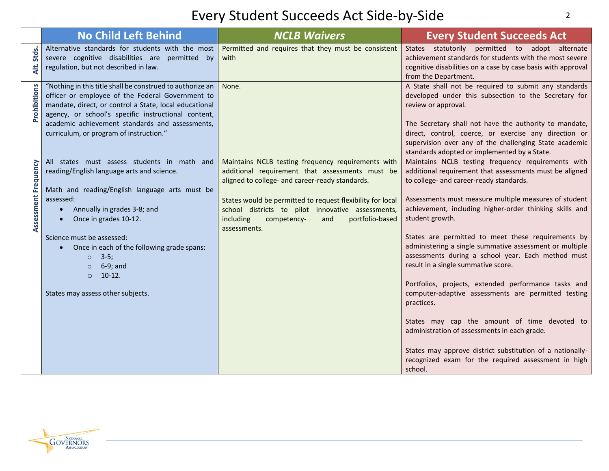|                      | <b>No Child Left Behind</b>                                                                                                                                                                                                                                                                                                                                                                                                    | <b>NCLB Waivers</b>                                                                                                                                                                                                                                                                                                                               | <b>Every Student Succeeds Act</b>                                                                                                                                                                                                                                                                                                                                                                                                                                                                                                                                                                                                                                                                                                                                                                                                                              |
|----------------------|--------------------------------------------------------------------------------------------------------------------------------------------------------------------------------------------------------------------------------------------------------------------------------------------------------------------------------------------------------------------------------------------------------------------------------|---------------------------------------------------------------------------------------------------------------------------------------------------------------------------------------------------------------------------------------------------------------------------------------------------------------------------------------------------|----------------------------------------------------------------------------------------------------------------------------------------------------------------------------------------------------------------------------------------------------------------------------------------------------------------------------------------------------------------------------------------------------------------------------------------------------------------------------------------------------------------------------------------------------------------------------------------------------------------------------------------------------------------------------------------------------------------------------------------------------------------------------------------------------------------------------------------------------------------|
| Stds.<br>₹.          | Alternative standards for students with the most<br>severe cognitive disabilities are permitted by<br>regulation, but not described in law.                                                                                                                                                                                                                                                                                    | Permitted and requires that they must be consistent<br>with                                                                                                                                                                                                                                                                                       | States statutorily permitted to adopt alternate<br>achievement standards for students with the most severe<br>cognitive disabilities on a case by case basis with approval<br>from the Department.                                                                                                                                                                                                                                                                                                                                                                                                                                                                                                                                                                                                                                                             |
| Prohibitions         | "Nothing in this title shall be construed to authorize an<br>officer or employee of the Federal Government to<br>mandate, direct, or control a State, local educational<br>agency, or school's specific instructional content,<br>academic achievement standards and assessments,<br>curriculum, or program of instruction."                                                                                                   | None.                                                                                                                                                                                                                                                                                                                                             | A State shall not be required to submit any standards<br>developed under this subsection to the Secretary for<br>review or approval.<br>The Secretary shall not have the authority to mandate,<br>direct, control, coerce, or exercise any direction or<br>supervision over any of the challenging State academic<br>standards adopted or implemented by a State.                                                                                                                                                                                                                                                                                                                                                                                                                                                                                              |
| Assessment Frequency | All states must assess students in math and<br>reading/English language arts and science.<br>Math and reading/English language arts must be<br>assessed:<br>Annually in grades 3-8; and<br>$\bullet$<br>Once in grades 10-12.<br>Science must be assessed:<br>Once in each of the following grade spans:<br>$\bullet$<br>$3-5;$<br>$\circ$<br>6-9; and<br>$\circ$<br>$10-12.$<br>$\Omega$<br>States may assess other subjects. | Maintains NCLB testing frequency requirements with<br>additional requirement that assessments must be<br>aligned to college- and career-ready standards.<br>States would be permitted to request flexibility for local<br>school districts to pilot innovative assessments,<br>portfolio-based<br>including<br>competency-<br>and<br>assessments. | Maintains NCLB testing frequency requirements with<br>additional requirement that assessments must be aligned<br>to college- and career-ready standards.<br>Assessments must measure multiple measures of student<br>achievement, including higher-order thinking skills and<br>student growth.<br>States are permitted to meet these requirements by<br>administering a single summative assessment or multiple<br>assessments during a school year. Each method must<br>result in a single summative score.<br>Portfolios, projects, extended performance tasks and<br>computer-adaptive assessments are permitted testing<br>practices.<br>States may cap the amount of time devoted to<br>administration of assessments in each grade.<br>States may approve district substitution of a nationally-<br>recognized exam for the required assessment in high |

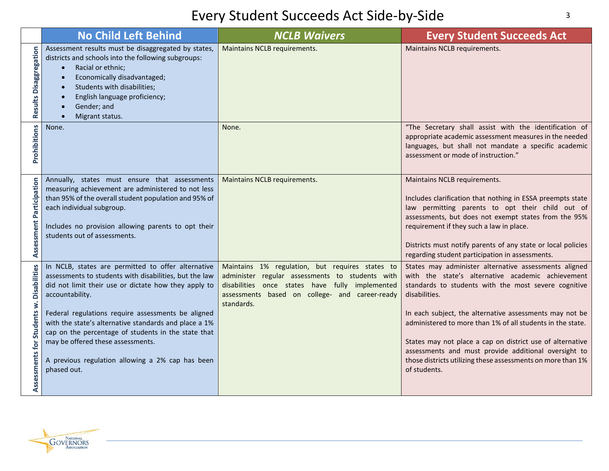|                                                      | No Child Left Behind                                                                                                                                                                                                                                                                                                                                                                                                                                                  | <b>NCLB Waivers</b>                                                                                                                                                                                                   | <b>Every Student Succeeds Act</b>                                                                                                                                                                                                                                                                                                                                                                                                                                                                                |
|------------------------------------------------------|-----------------------------------------------------------------------------------------------------------------------------------------------------------------------------------------------------------------------------------------------------------------------------------------------------------------------------------------------------------------------------------------------------------------------------------------------------------------------|-----------------------------------------------------------------------------------------------------------------------------------------------------------------------------------------------------------------------|------------------------------------------------------------------------------------------------------------------------------------------------------------------------------------------------------------------------------------------------------------------------------------------------------------------------------------------------------------------------------------------------------------------------------------------------------------------------------------------------------------------|
| Results Disaggregation                               | Assessment results must be disaggregated by states,<br>districts and schools into the following subgroups:<br>Racial or ethnic;<br>$\bullet$<br>Economically disadvantaged;<br>$\bullet$<br>Students with disabilities;<br>$\bullet$<br>English language proficiency;<br>Gender; and<br>Migrant status.                                                                                                                                                               | Maintains NCLB requirements.                                                                                                                                                                                          | Maintains NCLB requirements.                                                                                                                                                                                                                                                                                                                                                                                                                                                                                     |
| Prohibitions                                         | None.                                                                                                                                                                                                                                                                                                                                                                                                                                                                 | None.                                                                                                                                                                                                                 | "The Secretary shall assist with the identification of<br>appropriate academic assessment measures in the needed<br>languages, but shall not mandate a specific academic<br>assessment or mode of instruction."                                                                                                                                                                                                                                                                                                  |
| Assessment Participation                             | Annually, states must ensure that assessments<br>measuring achievement are administered to not less<br>than 95% of the overall student population and 95% of<br>each individual subgroup.<br>Includes no provision allowing parents to opt their<br>students out of assessments.                                                                                                                                                                                      | Maintains NCLB requirements.                                                                                                                                                                                          | Maintains NCLB requirements.<br>Includes clarification that nothing in ESSA preempts state<br>law permitting parents to opt their child out of<br>assessments, but does not exempt states from the 95%<br>requirement if they such a law in place.<br>Districts must notify parents of any state or local policies<br>regarding student participation in assessments.                                                                                                                                            |
| <b>Disabilities</b><br>ż<br>Assessments for Students | In NCLB, states are permitted to offer alternative<br>assessments to students with disabilities, but the law<br>did not limit their use or dictate how they apply to<br>accountability.<br>Federal regulations require assessments be aligned<br>with the state's alternative standards and place a 1%<br>cap on the percentage of students in the state that<br>may be offered these assessments.<br>A previous regulation allowing a 2% cap has been<br>phased out. | Maintains 1% regulation, but requires states to<br>administer regular assessments to students with<br>disabilities once states have fully implemented<br>assessments based on college- and career-ready<br>standards. | States may administer alternative assessments aligned<br>with the state's alternative academic achievement<br>standards to students with the most severe cognitive<br>disabilities.<br>In each subject, the alternative assessments may not be<br>administered to more than 1% of all students in the state.<br>States may not place a cap on district use of alternative<br>assessments and must provide additional oversight to<br>those districts utilizing these assessments on more than 1%<br>of students. |

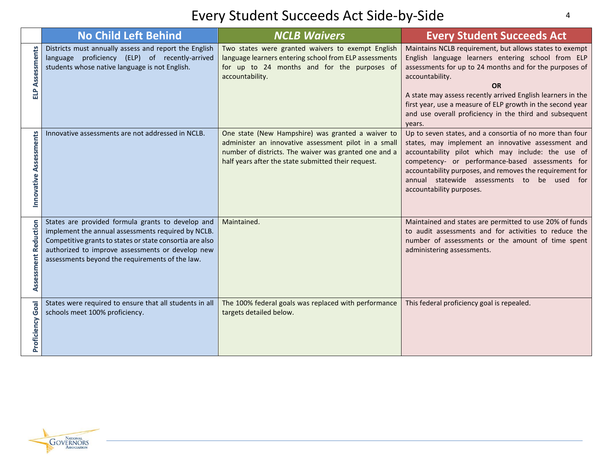|                             | <b>No Child Left Behind</b>                                                                                                                                                                                                                                                | <b>NCLB Waivers</b>                                                                                                                                                                                                       | <b>Every Student Succeeds Act</b>                                                                                                                                                                                                                                                                                                                                                                          |
|-----------------------------|----------------------------------------------------------------------------------------------------------------------------------------------------------------------------------------------------------------------------------------------------------------------------|---------------------------------------------------------------------------------------------------------------------------------------------------------------------------------------------------------------------------|------------------------------------------------------------------------------------------------------------------------------------------------------------------------------------------------------------------------------------------------------------------------------------------------------------------------------------------------------------------------------------------------------------|
| Assessments<br>싑            | Districts must annually assess and report the English<br>language proficiency (ELP) of recently-arrived<br>students whose native language is not English.                                                                                                                  | Two states were granted waivers to exempt English<br>language learners entering school from ELP assessments<br>for up to 24 months and for the purposes of<br>accountability.                                             | Maintains NCLB requirement, but allows states to exempt<br>English language learners entering school from ELP<br>assessments for up to 24 months and for the purposes of<br>accountability.<br><b>OR</b><br>A state may assess recently arrived English learners in the<br>first year, use a measure of ELP growth in the second year<br>and use overall proficiency in the third and subsequent<br>years. |
| Assessments<br>Innovative   | Innovative assessments are not addressed in NCLB.                                                                                                                                                                                                                          | One state (New Hampshire) was granted a waiver to<br>administer an innovative assessment pilot in a small<br>number of districts. The waiver was granted one and a<br>half years after the state submitted their request. | Up to seven states, and a consortia of no more than four<br>states, may implement an innovative assessment and<br>accountability pilot which may include: the use of<br>competency- or performance-based assessments for<br>accountability purposes, and removes the requirement for<br>annual statewide assessments to be used for<br>accountability purposes.                                            |
| <b>Assessment Reduction</b> | States are provided formula grants to develop and<br>implement the annual assessments required by NCLB.<br>Competitive grants to states or state consortia are also<br>authorized to improve assessments or develop new<br>assessments beyond the requirements of the law. | Maintained.                                                                                                                                                                                                               | Maintained and states are permitted to use 20% of funds<br>to audit assessments and for activities to reduce the<br>number of assessments or the amount of time spent<br>administering assessments.                                                                                                                                                                                                        |
| Goal<br>Proficiency         | States were required to ensure that all students in all<br>schools meet 100% proficiency.                                                                                                                                                                                  | The 100% federal goals was replaced with performance<br>targets detailed below.                                                                                                                                           | This federal proficiency goal is repealed.                                                                                                                                                                                                                                                                                                                                                                 |

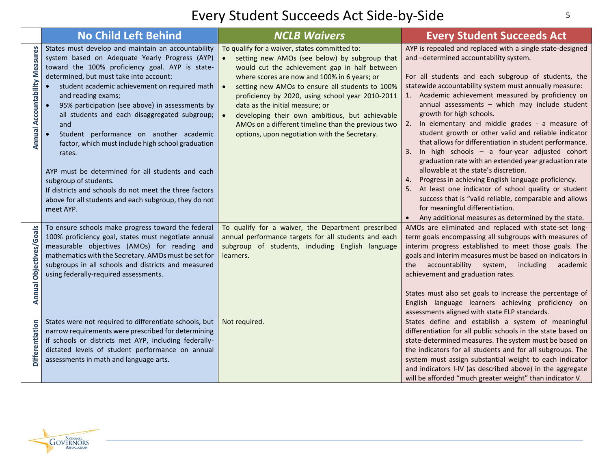|                                | <b>No Child Left Behind</b>                                                                                                                                                                                                                                                                                                                                                                                                                                                                                                                                                                                                                                                                                 | <b>NCLB Waivers</b>                                                                                                                                                                                                                                                                                                                                                                                                                                                                                                                       | <b>Every Student Succeeds Act</b>                                                                                                                                                                                                                                                                                                                                                                                                                                                                                                                                                                                                                                                                                                                                                                                                                                                                                                                                       |
|--------------------------------|-------------------------------------------------------------------------------------------------------------------------------------------------------------------------------------------------------------------------------------------------------------------------------------------------------------------------------------------------------------------------------------------------------------------------------------------------------------------------------------------------------------------------------------------------------------------------------------------------------------------------------------------------------------------------------------------------------------|-------------------------------------------------------------------------------------------------------------------------------------------------------------------------------------------------------------------------------------------------------------------------------------------------------------------------------------------------------------------------------------------------------------------------------------------------------------------------------------------------------------------------------------------|-------------------------------------------------------------------------------------------------------------------------------------------------------------------------------------------------------------------------------------------------------------------------------------------------------------------------------------------------------------------------------------------------------------------------------------------------------------------------------------------------------------------------------------------------------------------------------------------------------------------------------------------------------------------------------------------------------------------------------------------------------------------------------------------------------------------------------------------------------------------------------------------------------------------------------------------------------------------------|
| Annual Accountability Measures | States must develop and maintain an accountability<br>system based on Adequate Yearly Progress (AYP)<br>toward the 100% proficiency goal. AYP is state-<br>determined, but must take into account:<br>student academic achievement on required math<br>and reading exams;<br>95% participation (see above) in assessments by<br>all students and each disaggregated subgroup;<br>and<br>Student performance on another academic<br>factor, which must include high school graduation<br>rates.<br>AYP must be determined for all students and each<br>subgroup of students.<br>If districts and schools do not meet the three factors<br>above for all students and each subgroup, they do not<br>meet AYP. | To qualify for a waiver, states committed to:<br>setting new AMOs (see below) by subgroup that<br>$\bullet$<br>would cut the achievement gap in half between<br>where scores are now and 100% in 6 years; or<br>setting new AMOs to ensure all students to 100%<br>$\bullet$<br>proficiency by 2020, using school year 2010-2011<br>data as the initial measure; or<br>developing their own ambitious, but achievable<br>$\bullet$<br>AMOs on a different timeline than the previous two<br>options, upon negotiation with the Secretary. | AYP is repealed and replaced with a single state-designed<br>and -determined accountability system.<br>For all students and each subgroup of students, the<br>statewide accountability system must annually measure:<br>1. Academic achievement measured by proficiency on<br>annual assessments - which may include student<br>growth for high schools.<br>2. In elementary and middle grades - a measure of<br>student growth or other valid and reliable indicator<br>that allows for differentiation in student performance.<br>In high schools - a four-year adjusted cohort<br>graduation rate with an extended year graduation rate<br>allowable at the state's discretion.<br>Progress in achieving English language proficiency.<br>4.<br>At least one indicator of school quality or student<br>success that is "valid reliable, comparable and allows<br>for meaningful differentiation.<br>Any additional measures as determined by the state.<br>$\bullet$ |
| Annual Objectives/Goals        | To ensure schools make progress toward the federal<br>100% proficiency goal, states must negotiate annual<br>measurable objectives (AMOs) for reading and<br>mathematics with the Secretary. AMOs must be set for<br>subgroups in all schools and districts and measured<br>using federally-required assessments.                                                                                                                                                                                                                                                                                                                                                                                           | To qualify for a waiver, the Department prescribed<br>annual performance targets for all students and each<br>subgroup of students, including English language<br>learners.                                                                                                                                                                                                                                                                                                                                                               | AMOs are eliminated and replaced with state-set long-<br>term goals encompassing all subgroups with measures of<br>interim progress established to meet those goals. The<br>goals and interim measures must be based on indicators in<br>accountability system,<br>including<br>academic<br>the<br>achievement and graduation rates.<br>States must also set goals to increase the percentage of<br>English language learners achieving proficiency on<br>assessments aligned with state ELP standards.                                                                                                                                                                                                                                                                                                                                                                                                                                                                 |
| <b>Differentiation</b>         | States were not required to differentiate schools, but<br>narrow requirements were prescribed for determining<br>if schools or districts met AYP, including federally-<br>dictated levels of student performance on annual<br>assessments in math and language arts.                                                                                                                                                                                                                                                                                                                                                                                                                                        | Not required.                                                                                                                                                                                                                                                                                                                                                                                                                                                                                                                             | States define and establish a system of meaningful<br>differentiation for all public schools in the state based on<br>state-determined measures. The system must be based on<br>the indicators for all students and for all subgroups. The<br>system must assign substantial weight to each indicator<br>and indicators I-IV (as described above) in the aggregate<br>will be afforded "much greater weight" than indicator V.                                                                                                                                                                                                                                                                                                                                                                                                                                                                                                                                          |

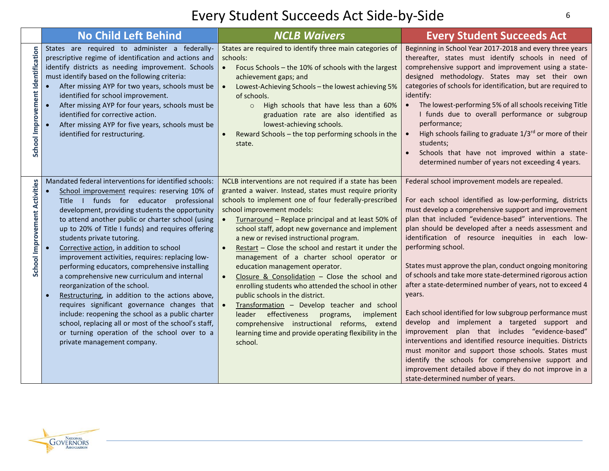|                                   | <b>No Child Left Behind</b>                                                                                                                                                                                                                                                                                                                                                                                                                                                                                                                                                                                                                                                                                                                                                                                                                                                                                            | <b>NCLB Waivers</b>                                                                                                                                                                                                                                                                                                                                                                                                                                                                                                                                                                                                                                                                                                                                                                                                                                                         | <b>Every Student Succeeds Act</b>                                                                                                                                                                                                                                                                                                                                                                                                                                                                                                                                                                                                                                                                                                                                                                                                                                                                                                                                                                           |
|-----------------------------------|------------------------------------------------------------------------------------------------------------------------------------------------------------------------------------------------------------------------------------------------------------------------------------------------------------------------------------------------------------------------------------------------------------------------------------------------------------------------------------------------------------------------------------------------------------------------------------------------------------------------------------------------------------------------------------------------------------------------------------------------------------------------------------------------------------------------------------------------------------------------------------------------------------------------|-----------------------------------------------------------------------------------------------------------------------------------------------------------------------------------------------------------------------------------------------------------------------------------------------------------------------------------------------------------------------------------------------------------------------------------------------------------------------------------------------------------------------------------------------------------------------------------------------------------------------------------------------------------------------------------------------------------------------------------------------------------------------------------------------------------------------------------------------------------------------------|-------------------------------------------------------------------------------------------------------------------------------------------------------------------------------------------------------------------------------------------------------------------------------------------------------------------------------------------------------------------------------------------------------------------------------------------------------------------------------------------------------------------------------------------------------------------------------------------------------------------------------------------------------------------------------------------------------------------------------------------------------------------------------------------------------------------------------------------------------------------------------------------------------------------------------------------------------------------------------------------------------------|
| School Improvement Identification | States are required to administer a federally-<br>prescriptive regime of identification and actions and<br>identify districts as needing improvement. Schools<br>must identify based on the following criteria:<br>After missing AYP for two years, schools must be<br>identified for school improvement.<br>After missing AYP for four years, schools must be<br>$\bullet$<br>identified for corrective action.<br>After missing AYP for five years, schools must be<br>identified for restructuring.                                                                                                                                                                                                                                                                                                                                                                                                                 | States are required to identify three main categories of<br>schools:<br>Focus Schools - the 10% of schools with the largest<br>achievement gaps; and<br>Lowest-Achieving Schools - the lowest achieving 5%<br>of schools.<br>High schools that have less than a 60%<br>$\circ$<br>graduation rate are also identified as<br>lowest-achieving schools.<br>Reward Schools - the top performing schools in the<br>state.                                                                                                                                                                                                                                                                                                                                                                                                                                                       | Beginning in School Year 2017-2018 and every three years<br>thereafter, states must identify schools in need of<br>comprehensive support and improvement using a state-<br>designed methodology. States may set their own<br>categories of schools for identification, but are required to<br>identify:<br>The lowest-performing 5% of all schools receiving Title<br>I funds due to overall performance or subgroup<br>performance;<br>High schools failing to graduate 1/3rd or more of their<br>$\bullet$<br>students;<br>Schools that have not improved within a state-<br>determined number of years not exceeding 4 years.                                                                                                                                                                                                                                                                                                                                                                            |
| School Improvement Activities     | Mandated federal interventions for identified schools:<br>School improvement requires: reserving 10% of<br>$\bullet$<br>Title I funds for educator professional<br>development, providing students the opportunity<br>to attend another public or charter school (using<br>up to 20% of Title I funds) and requires offering<br>students private tutoring.<br>Corrective action, in addition to school<br>$\bullet$<br>improvement activities, requires: replacing low-<br>performing educators, comprehensive installing<br>a comprehensive new curriculum and internal<br>reorganization of the school.<br>Restructuring, in addition to the actions above,<br>$\bullet$<br>requires significant governance changes that<br>include: reopening the school as a public charter<br>school, replacing all or most of the school's staff,<br>or turning operation of the school over to a<br>private management company. | NCLB interventions are not required if a state has been<br>granted a waiver. Instead, states must require priority<br>schools to implement one of four federally-prescribed<br>school improvement models:<br>Turnaround - Replace principal and at least 50% of<br>school staff, adopt new governance and implement<br>a new or revised instructional program.<br>Restart - Close the school and restart it under the<br>management of a charter school operator or<br>education management operator.<br>Closure & Consolidation $-$ Close the school and<br>enrolling students who attended the school in other<br>public schools in the district.<br>Transformation - Develop teacher and school<br>effectiveness<br>leader<br>programs,<br>implement<br>comprehensive instructional reforms, extend<br>learning time and provide operating flexibility in the<br>school. | Federal school improvement models are repealed.<br>For each school identified as low-performing, districts<br>must develop a comprehensive support and improvement<br>plan that included "evidence-based" interventions. The<br>plan should be developed after a needs assessment and<br>identification of resource inequities in each low-<br>performing school.<br>States must approve the plan, conduct ongoing monitoring<br>of schools and take more state-determined rigorous action<br>after a state-determined number of years, not to exceed 4<br>years.<br>Each school identified for low subgroup performance must<br>develop and implement a targeted support and<br>improvement plan that includes "evidence-based"<br>interventions and identified resource inequities. Districts<br>must monitor and support those schools. States must<br>identify the schools for comprehensive support and<br>improvement detailed above if they do not improve in a<br>state-determined number of years. |

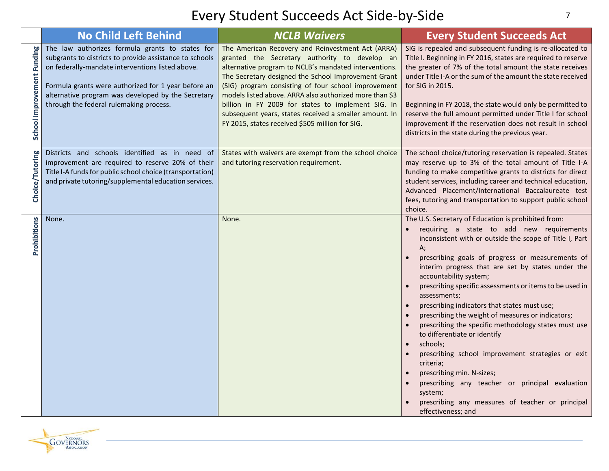|                            | <b>No Child Left Behind</b>                                                                                                                                                                                                                                                                                            | <b>NCLB Waivers</b>                                                                                                                                                                                                                                                                                                                                                                                                                                                                                     | <b>Every Student Succeeds Act</b>                                                                                                                                                                                                                                                                                                                                                                                                                                                                                                                                                                                                                                                                                                                                                                                                            |
|----------------------------|------------------------------------------------------------------------------------------------------------------------------------------------------------------------------------------------------------------------------------------------------------------------------------------------------------------------|---------------------------------------------------------------------------------------------------------------------------------------------------------------------------------------------------------------------------------------------------------------------------------------------------------------------------------------------------------------------------------------------------------------------------------------------------------------------------------------------------------|----------------------------------------------------------------------------------------------------------------------------------------------------------------------------------------------------------------------------------------------------------------------------------------------------------------------------------------------------------------------------------------------------------------------------------------------------------------------------------------------------------------------------------------------------------------------------------------------------------------------------------------------------------------------------------------------------------------------------------------------------------------------------------------------------------------------------------------------|
| School Improvement Funding | The law authorizes formula grants to states for<br>subgrants to districts to provide assistance to schools<br>on federally-mandate interventions listed above.<br>Formula grants were authorized for 1 year before an<br>alternative program was developed by the Secretary<br>through the federal rulemaking process. | The American Recovery and Reinvestment Act (ARRA)<br>granted the Secretary authority to develop an<br>alternative program to NCLB's mandated interventions.<br>The Secretary designed the School Improvement Grant<br>(SIG) program consisting of four school improvement<br>models listed above. ARRA also authorized more than \$3<br>billion in FY 2009 for states to implement SIG. In<br>subsequent years, states received a smaller amount. In<br>FY 2015, states received \$505 million for SIG. | SIG is repealed and subsequent funding is re-allocated to<br>Title I. Beginning in FY 2016, states are required to reserve<br>the greater of 7% of the total amount the state receives<br>under Title I-A or the sum of the amount the state received<br>for SIG in 2015.<br>Beginning in FY 2018, the state would only be permitted to<br>reserve the full amount permitted under Title I for school<br>improvement if the reservation does not result in school<br>districts in the state during the previous year.                                                                                                                                                                                                                                                                                                                        |
| Choice/Tutoring            | Districts and schools identified as in need of<br>improvement are required to reserve 20% of their<br>Title I-A funds for public school choice (transportation)<br>and private tutoring/supplemental education services.                                                                                               | States with waivers are exempt from the school choice<br>and tutoring reservation requirement.                                                                                                                                                                                                                                                                                                                                                                                                          | The school choice/tutoring reservation is repealed. States<br>may reserve up to 3% of the total amount of Title I-A<br>funding to make competitive grants to districts for direct<br>student services, including career and technical education,<br>Advanced Placement/International Baccalaureate test<br>fees, tutoring and transportation to support public school<br>choice.                                                                                                                                                                                                                                                                                                                                                                                                                                                             |
| Prohibitions               | None.                                                                                                                                                                                                                                                                                                                  | None.                                                                                                                                                                                                                                                                                                                                                                                                                                                                                                   | The U.S. Secretary of Education is prohibited from:<br>requiring a state to add new requirements<br>inconsistent with or outside the scope of Title I, Part<br>A;<br>prescribing goals of progress or measurements of<br>interim progress that are set by states under the<br>accountability system;<br>prescribing specific assessments or items to be used in<br>assessments;<br>prescribing indicators that states must use;<br>prescribing the weight of measures or indicators;<br>$\bullet$<br>prescribing the specific methodology states must use<br>to differentiate or identify<br>schools;<br>prescribing school improvement strategies or exit<br>criteria;<br>prescribing min. N-sizes;<br>prescribing any teacher or principal evaluation<br>system;<br>prescribing any measures of teacher or principal<br>effectiveness; and |

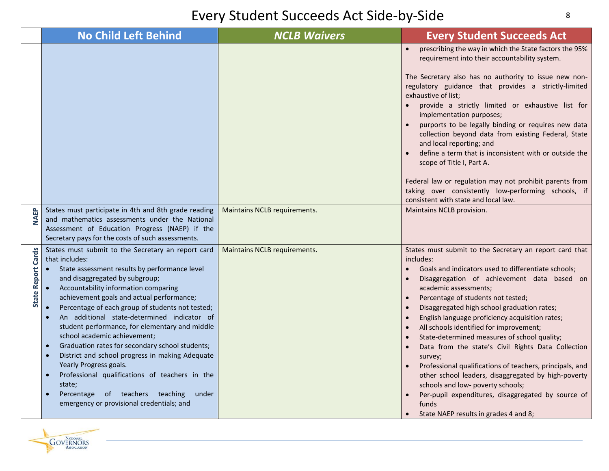|                           | <b>No Child Left Behind</b>                                                                                                                                                                                                                                                                                                                                                                                                                                                                                                                                                                                                                                                                                                                                   | <b>NCLB Waivers</b>          | <b>Every Student Succeeds Act</b>                                                                                                                                                                                                                                                                                                                                                                                                                                                                                                                                                                                                                                                                                                                                                                                                                                                            |
|---------------------------|---------------------------------------------------------------------------------------------------------------------------------------------------------------------------------------------------------------------------------------------------------------------------------------------------------------------------------------------------------------------------------------------------------------------------------------------------------------------------------------------------------------------------------------------------------------------------------------------------------------------------------------------------------------------------------------------------------------------------------------------------------------|------------------------------|----------------------------------------------------------------------------------------------------------------------------------------------------------------------------------------------------------------------------------------------------------------------------------------------------------------------------------------------------------------------------------------------------------------------------------------------------------------------------------------------------------------------------------------------------------------------------------------------------------------------------------------------------------------------------------------------------------------------------------------------------------------------------------------------------------------------------------------------------------------------------------------------|
|                           |                                                                                                                                                                                                                                                                                                                                                                                                                                                                                                                                                                                                                                                                                                                                                               |                              | prescribing the way in which the State factors the 95%<br>$\bullet$<br>requirement into their accountability system.<br>The Secretary also has no authority to issue new non-<br>regulatory guidance that provides a strictly-limited<br>exhaustive of list;<br>provide a strictly limited or exhaustive list for<br>implementation purposes;<br>purports to be legally binding or requires new data<br>collection beyond data from existing Federal, State<br>and local reporting; and<br>define a term that is inconsistent with or outside the<br>scope of Title I, Part A.<br>Federal law or regulation may not prohibit parents from<br>taking over consistently low-performing schools, if<br>consistent with state and local law.                                                                                                                                                     |
| <b>NAEP</b>               | States must participate in 4th and 8th grade reading<br>and mathematics assessments under the National<br>Assessment of Education Progress (NAEP) if the<br>Secretary pays for the costs of such assessments.                                                                                                                                                                                                                                                                                                                                                                                                                                                                                                                                                 | Maintains NCLB requirements. | Maintains NCLB provision.                                                                                                                                                                                                                                                                                                                                                                                                                                                                                                                                                                                                                                                                                                                                                                                                                                                                    |
| <b>State Report Cards</b> | States must submit to the Secretary an report card<br>that includes:<br>State assessment results by performance level<br>and disaggregated by subgroup;<br>Accountability information comparing<br>achievement goals and actual performance;<br>Percentage of each group of students not tested;<br>An additional state-determined indicator of<br>student performance, for elementary and middle<br>school academic achievement;<br>Graduation rates for secondary school students;<br>$\bullet$<br>District and school progress in making Adequate<br>$\bullet$<br>Yearly Progress goals.<br>Professional qualifications of teachers in the<br>$\bullet$<br>state;<br>Percentage of teachers teaching<br>under<br>emergency or provisional credentials; and | Maintains NCLB requirements. | States must submit to the Secretary an report card that<br>includes:<br>Goals and indicators used to differentiate schools;<br>$\bullet$<br>Disaggregation of achievement data based on<br>$\bullet$<br>academic assessments;<br>Percentage of students not tested;<br>Disaggregated high school graduation rates;<br>$\bullet$<br>English language proficiency acquisition rates;<br>$\bullet$<br>All schools identified for improvement;<br>$\bullet$<br>State-determined measures of school quality;<br>$\bullet$<br>Data from the state's Civil Rights Data Collection<br>$\bullet$<br>survey;<br>Professional qualifications of teachers, principals, and<br>other school leaders, disaggregated by high-poverty<br>schools and low- poverty schools;<br>Per-pupil expenditures, disaggregated by source of<br>$\bullet$<br>funds<br>State NAEP results in grades 4 and 8;<br>$\bullet$ |

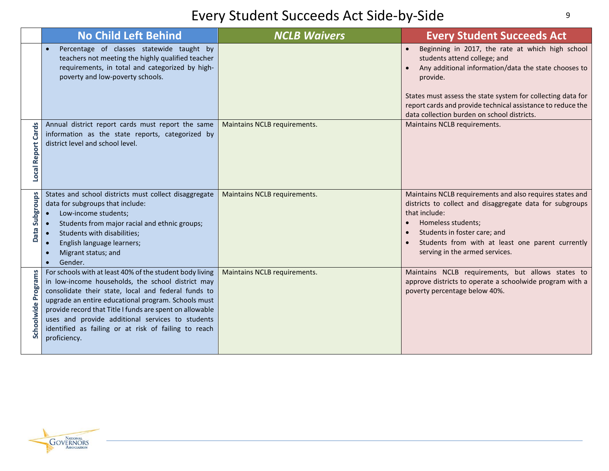|                              | <b>No Child Left Behind</b>                                                                                                                                                                                                                                                                                                                                                                                         | <b>NCLB Waivers</b>          | <b>Every Student Succeeds Act</b>                                                                                                                                                                                                                                                                                                              |
|------------------------------|---------------------------------------------------------------------------------------------------------------------------------------------------------------------------------------------------------------------------------------------------------------------------------------------------------------------------------------------------------------------------------------------------------------------|------------------------------|------------------------------------------------------------------------------------------------------------------------------------------------------------------------------------------------------------------------------------------------------------------------------------------------------------------------------------------------|
|                              | Percentage of classes statewide taught by<br>teachers not meeting the highly qualified teacher<br>requirements, in total and categorized by high-<br>poverty and low-poverty schools.                                                                                                                                                                                                                               |                              | Beginning in 2017, the rate at which high school<br>students attend college; and<br>Any additional information/data the state chooses to<br>$\bullet$<br>provide.<br>States must assess the state system for collecting data for<br>report cards and provide technical assistance to reduce the<br>data collection burden on school districts. |
| Cards<br><b>Local Report</b> | Annual district report cards must report the same<br>information as the state reports, categorized by<br>district level and school level.                                                                                                                                                                                                                                                                           | Maintains NCLB requirements. | Maintains NCLB requirements.                                                                                                                                                                                                                                                                                                                   |
| Subgroups<br><b>Data</b>     | States and school districts must collect disaggregate<br>data for subgroups that include:<br>Low-income students;<br>$\bullet$<br>Students from major racial and ethnic groups;<br>Students with disabilities;<br>English language learners;<br>$\bullet$<br>Migrant status; and<br>$\bullet$<br>Gender.<br>$\bullet$                                                                                               | Maintains NCLB requirements. | Maintains NCLB requirements and also requires states and<br>districts to collect and disaggregate data for subgroups<br>that include:<br>Homeless students;<br>Students in foster care; and<br>Students from with at least one parent currently<br>serving in the armed services.                                                              |
| <b>Schoolwide Programs</b>   | For schools with at least 40% of the student body living<br>in low-income households, the school district may<br>consolidate their state, local and federal funds to<br>upgrade an entire educational program. Schools must<br>provide record that Title I funds are spent on allowable<br>uses and provide additional services to students<br>identified as failing or at risk of failing to reach<br>proficiency. | Maintains NCLB requirements. | Maintains NCLB requirements, but allows states to<br>approve districts to operate a schoolwide program with a<br>poverty percentage below 40%.                                                                                                                                                                                                 |

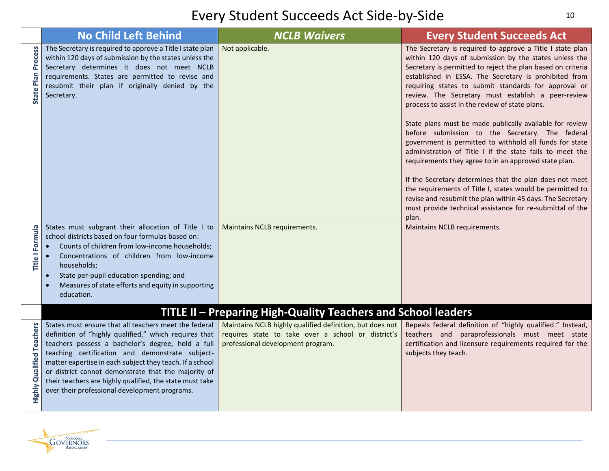|                           | <b>No Child Left Behind</b>                                                                                                                                                                                                                                                                                                                         | <b>NCLB Waivers</b>                                                                                                                                                                                                  | <b>Every Student Succeeds Act</b>                                                                                                                                                                                                                                                                                                                                                                                                                                                                                                                                                                                                                                                                                                                                                                                                                                                                                                                                       |
|---------------------------|-----------------------------------------------------------------------------------------------------------------------------------------------------------------------------------------------------------------------------------------------------------------------------------------------------------------------------------------------------|----------------------------------------------------------------------------------------------------------------------------------------------------------------------------------------------------------------------|-------------------------------------------------------------------------------------------------------------------------------------------------------------------------------------------------------------------------------------------------------------------------------------------------------------------------------------------------------------------------------------------------------------------------------------------------------------------------------------------------------------------------------------------------------------------------------------------------------------------------------------------------------------------------------------------------------------------------------------------------------------------------------------------------------------------------------------------------------------------------------------------------------------------------------------------------------------------------|
| <b>State Plan Process</b> | The Secretary is required to approve a Title I state plan<br>within 120 days of submission by the states unless the<br>Secretary determines it does not meet NCLB<br>requirements. States are permitted to revise and<br>resubmit their plan if originally denied by the<br>Secretary.                                                              | Not applicable.                                                                                                                                                                                                      | The Secretary is required to approve a Title I state plan<br>within 120 days of submission by the states unless the<br>Secretary is permitted to reject the plan based on criteria<br>established in ESSA. The Secretary is prohibited from<br>requiring states to submit standards for approval or<br>review. The Secretary must establish a peer-review<br>process to assist in the review of state plans.<br>State plans must be made publically available for review<br>before submission to the Secretary. The federal<br>government is permitted to withhold all funds for state<br>administration of Title I if the state fails to meet the<br>requirements they agree to in an approved state plan.<br>If the Secretary determines that the plan does not meet<br>the requirements of Title I, states would be permitted to<br>revise and resubmit the plan within 45 days. The Secretary<br>must provide technical assistance for re-submittal of the<br>plan. |
| Title I Formula           | States must subgrant their allocation of Title I to<br>school districts based on four formulas based on:<br>Counts of children from low-income households;<br>Concentrations of children from low-income<br>households;<br>State per-pupil education spending; and<br>$\bullet$<br>Measures of state efforts and equity in supporting<br>education. | Maintains NCLB requirements.                                                                                                                                                                                         | Maintains NCLB requirements.                                                                                                                                                                                                                                                                                                                                                                                                                                                                                                                                                                                                                                                                                                                                                                                                                                                                                                                                            |
|                           | States must ensure that all teachers meet the federal<br>definition of "highly qualified," which requires that<br>teachers possess a bachelor's degree, hold a full<br>teaching certification and demonstrate subject-                                                                                                                              | TITLE II - Preparing High-Quality Teachers and School leaders<br>Maintains NCLB highly qualified definition, but does not<br>requires state to take over a school or district's<br>professional development program. | Repeals federal definition of "highly qualified." Instead,<br>teachers and paraprofessionals must meet state<br>certification and licensure requirements required for the<br>subjects they teach.                                                                                                                                                                                                                                                                                                                                                                                                                                                                                                                                                                                                                                                                                                                                                                       |
| Highly Qualified Teachers | matter expertise in each subject they teach. If a school<br>or district cannot demonstrate that the majority of<br>their teachers are highly qualified, the state must take<br>over their professional development programs.                                                                                                                        |                                                                                                                                                                                                                      |                                                                                                                                                                                                                                                                                                                                                                                                                                                                                                                                                                                                                                                                                                                                                                                                                                                                                                                                                                         |

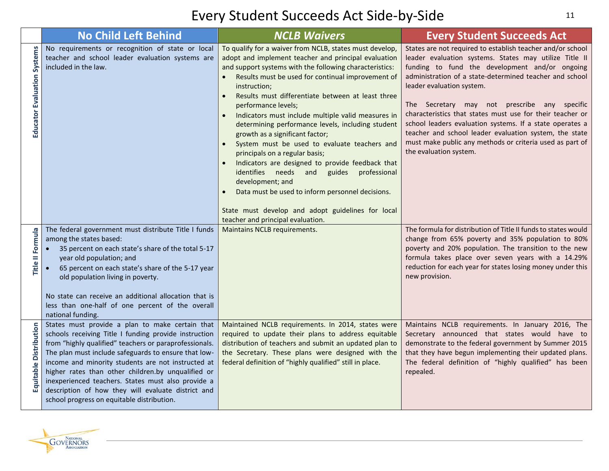|                                    | <b>No Child Left Behind</b>                                                                                                                                                                                                                                                                                                                                                                                                                                                                      | <b>NCLB Waivers</b>                                                                                                                                                                                                                                                                                                                                                                                                                                                                                                                                                                                                                                                                                                                                                                                                                              | <b>Every Student Succeeds Act</b>                                                                                                                                                                                                                                                                                                                                                                                                                                                                                                                                                       |
|------------------------------------|--------------------------------------------------------------------------------------------------------------------------------------------------------------------------------------------------------------------------------------------------------------------------------------------------------------------------------------------------------------------------------------------------------------------------------------------------------------------------------------------------|--------------------------------------------------------------------------------------------------------------------------------------------------------------------------------------------------------------------------------------------------------------------------------------------------------------------------------------------------------------------------------------------------------------------------------------------------------------------------------------------------------------------------------------------------------------------------------------------------------------------------------------------------------------------------------------------------------------------------------------------------------------------------------------------------------------------------------------------------|-----------------------------------------------------------------------------------------------------------------------------------------------------------------------------------------------------------------------------------------------------------------------------------------------------------------------------------------------------------------------------------------------------------------------------------------------------------------------------------------------------------------------------------------------------------------------------------------|
| <b>Educator Evaluation Systems</b> | No requirements or recognition of state or local<br>teacher and school leader evaluation systems are<br>included in the law.                                                                                                                                                                                                                                                                                                                                                                     | To qualify for a waiver from NCLB, states must develop,<br>adopt and implement teacher and principal evaluation<br>and support systems with the following characteristics:<br>Results must be used for continual improvement of<br>instruction;<br>Results must differentiate between at least three<br>performance levels;<br>Indicators must include multiple valid measures in<br>$\bullet$<br>determining performance levels, including student<br>growth as a significant factor;<br>System must be used to evaluate teachers and<br>principals on a regular basis;<br>Indicators are designed to provide feedback that<br>identifies needs and<br>guides<br>professional<br>development; and<br>Data must be used to inform personnel decisions.<br>State must develop and adopt guidelines for local<br>teacher and principal evaluation. | States are not required to establish teacher and/or school<br>leader evaluation systems. States may utilize Title II<br>funding to fund the development and/or ongoing<br>administration of a state-determined teacher and school<br>leader evaluation system.<br>The Secretary may not prescribe any specific<br>characteristics that states must use for their teacher or<br>school leaders evaluation systems. If a state operates a<br>teacher and school leader evaluation system, the state<br>must make public any methods or criteria used as part of<br>the evaluation system. |
| Title II Formula                   | The federal government must distribute Title I funds<br>among the states based:<br>35 percent on each state's share of the total 5-17<br>year old population; and<br>65 percent on each state's share of the 5-17 year<br>old population living in poverty.<br>No state can receive an additional allocation that is<br>less than one-half of one percent of the overall<br>national funding.                                                                                                    | Maintains NCLB requirements.                                                                                                                                                                                                                                                                                                                                                                                                                                                                                                                                                                                                                                                                                                                                                                                                                     | The formula for distribution of Title II funds to states would<br>change from 65% poverty and 35% population to 80%<br>poverty and 20% population. The transition to the new<br>formula takes place over seven years with a 14.29%<br>reduction for each year for states losing money under this<br>new provision.                                                                                                                                                                                                                                                                      |
| <b>Distribution</b><br>Equitable   | States must provide a plan to make certain that<br>schools receiving Title I funding provide instruction<br>from "highly qualified" teachers or paraprofessionals.<br>The plan must include safeguards to ensure that low-<br>income and minority students are not instructed at<br>higher rates than other children.by unqualified or<br>inexperienced teachers. States must also provide a<br>description of how they will evaluate district and<br>school progress on equitable distribution. | Maintained NCLB requirements. In 2014, states were<br>required to update their plans to address equitable<br>distribution of teachers and submit an updated plan to<br>the Secretary. These plans were designed with the<br>federal definition of "highly qualified" still in place.                                                                                                                                                                                                                                                                                                                                                                                                                                                                                                                                                             | Maintains NCLB requirements. In January 2016, The<br>Secretary announced that states would have to<br>demonstrate to the federal government by Summer 2015<br>that they have begun implementing their updated plans.<br>The federal definition of "highly qualified" has been<br>repealed.                                                                                                                                                                                                                                                                                              |

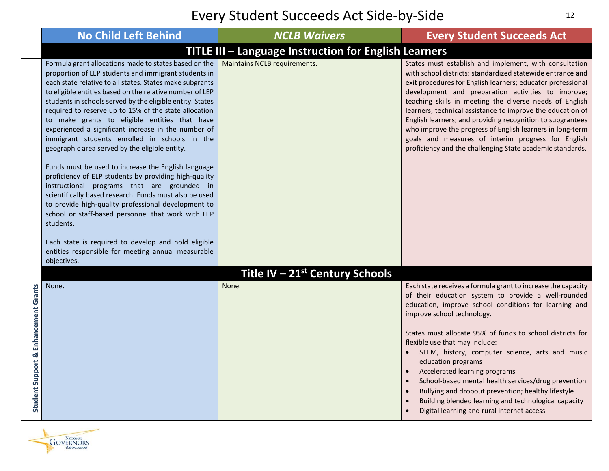|                                      | <b>No Child Left Behind</b>                                                                                                                                                                                                                                                                                                                                                                                                                                                                                                                                                                                                                                                                                                                                                                                                                                                                                               | <b>NCLB Waivers</b>                                   | <b>Every Student Succeeds Act</b>                                                                                                                                                                                                                                                                                                                                                                                                                                                                                                                                                                                                      |
|--------------------------------------|---------------------------------------------------------------------------------------------------------------------------------------------------------------------------------------------------------------------------------------------------------------------------------------------------------------------------------------------------------------------------------------------------------------------------------------------------------------------------------------------------------------------------------------------------------------------------------------------------------------------------------------------------------------------------------------------------------------------------------------------------------------------------------------------------------------------------------------------------------------------------------------------------------------------------|-------------------------------------------------------|----------------------------------------------------------------------------------------------------------------------------------------------------------------------------------------------------------------------------------------------------------------------------------------------------------------------------------------------------------------------------------------------------------------------------------------------------------------------------------------------------------------------------------------------------------------------------------------------------------------------------------------|
|                                      |                                                                                                                                                                                                                                                                                                                                                                                                                                                                                                                                                                                                                                                                                                                                                                                                                                                                                                                           | TITLE III - Language Instruction for English Learners |                                                                                                                                                                                                                                                                                                                                                                                                                                                                                                                                                                                                                                        |
|                                      | Formula grant allocations made to states based on the<br>proportion of LEP students and immigrant students in<br>each state relative to all states. States make subgrants<br>to eligible entities based on the relative number of LEP<br>students in schools served by the eligible entity. States<br>required to reserve up to 15% of the state allocation<br>to make grants to eligible entities that have<br>experienced a significant increase in the number of<br>immigrant students enrolled in schools in the<br>geographic area served by the eligible entity.<br>Funds must be used to increase the English language<br>proficiency of ELP students by providing high-quality<br>instructional programs that are grounded in<br>scientifically based research. Funds must also be used<br>to provide high-quality professional development to<br>school or staff-based personnel that work with LEP<br>students. | Maintains NCLB requirements.                          | States must establish and implement, with consultation<br>with school districts: standardized statewide entrance and<br>exit procedures for English learners; educator professional<br>development and preparation activities to improve;<br>teaching skills in meeting the diverse needs of English<br>learners; technical assistance to improve the education of<br>English learners; and providing recognition to subgrantees<br>who improve the progress of English learners in long-term<br>goals and measures of interim progress for English<br>proficiency and the challenging State academic standards.                       |
|                                      | Each state is required to develop and hold eligible<br>entities responsible for meeting annual measurable<br>objectives.                                                                                                                                                                                                                                                                                                                                                                                                                                                                                                                                                                                                                                                                                                                                                                                                  |                                                       |                                                                                                                                                                                                                                                                                                                                                                                                                                                                                                                                                                                                                                        |
|                                      |                                                                                                                                                                                                                                                                                                                                                                                                                                                                                                                                                                                                                                                                                                                                                                                                                                                                                                                           | Title IV – $21st$ Century Schools                     |                                                                                                                                                                                                                                                                                                                                                                                                                                                                                                                                                                                                                                        |
| Student Support & Enhancement Grants | None.                                                                                                                                                                                                                                                                                                                                                                                                                                                                                                                                                                                                                                                                                                                                                                                                                                                                                                                     | None.                                                 | Each state receives a formula grant to increase the capacity<br>of their education system to provide a well-rounded<br>education, improve school conditions for learning and<br>improve school technology.<br>States must allocate 95% of funds to school districts for<br>flexible use that may include:<br>STEM, history, computer science, arts and music<br>education programs<br>Accelerated learning programs<br>School-based mental health services/drug prevention<br>Bullying and dropout prevention; healthy lifestyle<br>Building blended learning and technological capacity<br>Digital learning and rural internet access |

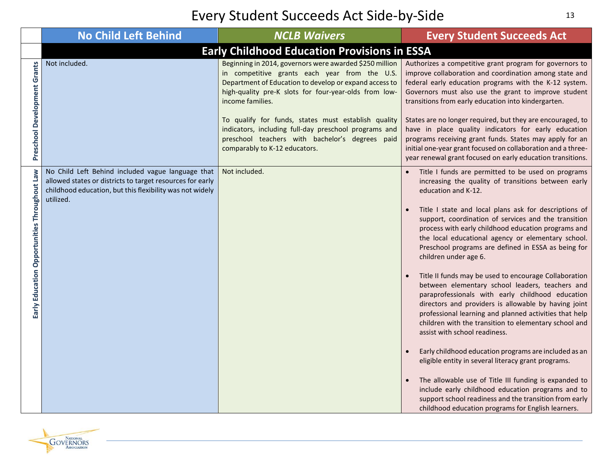|                                                        | <b>No Child Left Behind</b>                                                                                                                                                             | <b>NCLB Waivers</b>                                                                                                                                                                                                                                                                                                                                                                                                                                 | <b>Every Student Succeeds Act</b>                                                                                                                                                                                                                                                                                                                                                                                                                                                                                                                                                                                                                                                                                                                                                                                                                                                                                                                                                                                                                                                                                                                                        |  |  |  |  |  |
|--------------------------------------------------------|-----------------------------------------------------------------------------------------------------------------------------------------------------------------------------------------|-----------------------------------------------------------------------------------------------------------------------------------------------------------------------------------------------------------------------------------------------------------------------------------------------------------------------------------------------------------------------------------------------------------------------------------------------------|--------------------------------------------------------------------------------------------------------------------------------------------------------------------------------------------------------------------------------------------------------------------------------------------------------------------------------------------------------------------------------------------------------------------------------------------------------------------------------------------------------------------------------------------------------------------------------------------------------------------------------------------------------------------------------------------------------------------------------------------------------------------------------------------------------------------------------------------------------------------------------------------------------------------------------------------------------------------------------------------------------------------------------------------------------------------------------------------------------------------------------------------------------------------------|--|--|--|--|--|
|                                                        | <b>Early Childhood Education Provisions in ESSA</b>                                                                                                                                     |                                                                                                                                                                                                                                                                                                                                                                                                                                                     |                                                                                                                                                                                                                                                                                                                                                                                                                                                                                                                                                                                                                                                                                                                                                                                                                                                                                                                                                                                                                                                                                                                                                                          |  |  |  |  |  |
| Preschool Development Grants                           | Not included.                                                                                                                                                                           | Beginning in 2014, governors were awarded \$250 million<br>in competitive grants each year from the U.S.<br>Department of Education to develop or expand access to<br>high-quality pre-K slots for four-year-olds from low-<br>income families.<br>To qualify for funds, states must establish quality<br>indicators, including full-day preschool programs and<br>preschool teachers with bachelor's degrees paid<br>comparably to K-12 educators. | Authorizes a competitive grant program for governors to<br>improve collaboration and coordination among state and<br>federal early education programs with the K-12 system.<br>Governors must also use the grant to improve student<br>transitions from early education into kindergarten.<br>States are no longer required, but they are encouraged, to<br>have in place quality indicators for early education<br>programs receiving grant funds. States may apply for an<br>initial one-year grant focused on collaboration and a three-<br>year renewal grant focused on early education transitions.                                                                                                                                                                                                                                                                                                                                                                                                                                                                                                                                                                |  |  |  |  |  |
| <b>Law</b><br>Early Education Opportunities Throughout | No Child Left Behind included vague language that<br>allowed states or districts to target resources for early<br>childhood education, but this flexibility was not widely<br>utilized. | Not included.                                                                                                                                                                                                                                                                                                                                                                                                                                       | Title I funds are permitted to be used on programs<br>increasing the quality of transitions between early<br>education and K-12.<br>Title I state and local plans ask for descriptions of<br>support, coordination of services and the transition<br>process with early childhood education programs and<br>the local educational agency or elementary school.<br>Preschool programs are defined in ESSA as being for<br>children under age 6.<br>Title II funds may be used to encourage Collaboration<br>between elementary school leaders, teachers and<br>paraprofessionals with early childhood education<br>directors and providers is allowable by having joint<br>professional learning and planned activities that help<br>children with the transition to elementary school and<br>assist with school readiness.<br>Early childhood education programs are included as an<br>eligible entity in several literacy grant programs.<br>The allowable use of Title III funding is expanded to<br>include early childhood education programs and to<br>support school readiness and the transition from early<br>childhood education programs for English learners. |  |  |  |  |  |

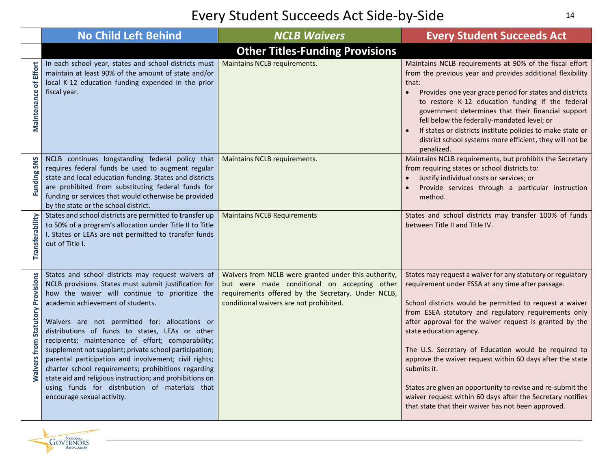|                                          | <b>No Child Left Behind</b>                                                                                                                                                                                                                                                                                                                                                                                                                                                                                                                                                                                                                                                       | <b>NCLB Waivers</b>                                                                                                                                                                                   | <b>Every Student Succeeds Act</b>                                                                                                                                                                                                                                                                                                                                                                                                                                                                                                                                                                                                                 |  |  |  |  |
|------------------------------------------|-----------------------------------------------------------------------------------------------------------------------------------------------------------------------------------------------------------------------------------------------------------------------------------------------------------------------------------------------------------------------------------------------------------------------------------------------------------------------------------------------------------------------------------------------------------------------------------------------------------------------------------------------------------------------------------|-------------------------------------------------------------------------------------------------------------------------------------------------------------------------------------------------------|---------------------------------------------------------------------------------------------------------------------------------------------------------------------------------------------------------------------------------------------------------------------------------------------------------------------------------------------------------------------------------------------------------------------------------------------------------------------------------------------------------------------------------------------------------------------------------------------------------------------------------------------------|--|--|--|--|
|                                          | <b>Other Titles-Funding Provisions</b>                                                                                                                                                                                                                                                                                                                                                                                                                                                                                                                                                                                                                                            |                                                                                                                                                                                                       |                                                                                                                                                                                                                                                                                                                                                                                                                                                                                                                                                                                                                                                   |  |  |  |  |
| <b>Maintenance of Effort</b>             | In each school year, states and school districts must<br>maintain at least 90% of the amount of state and/or<br>local K-12 education funding expended in the prior<br>fiscal year.                                                                                                                                                                                                                                                                                                                                                                                                                                                                                                | Maintains NCLB requirements.                                                                                                                                                                          | Maintains NCLB requirements at 90% of the fiscal effort<br>from the previous year and provides additional flexibility<br>that:<br>Provides one year grace period for states and districts<br>to restore K-12 education funding if the federal<br>government determines that their financial support<br>fell below the federally-mandated level; or<br>If states or districts institute policies to make state or<br>district school systems more efficient, they will not be<br>penalized.                                                                                                                                                        |  |  |  |  |
| Funding SNS                              | NCLB continues longstanding federal policy that<br>requires federal funds be used to augment regular<br>state and local education funding. States and districts<br>are prohibited from substituting federal funds for<br>funding or services that would otherwise be provided<br>by the state or the school district.                                                                                                                                                                                                                                                                                                                                                             | Maintains NCLB requirements.                                                                                                                                                                          | Maintains NCLB requirements, but prohibits the Secretary<br>from requiring states or school districts to:<br>Justify individual costs or services; or<br>Provide services through a particular instruction<br>method.                                                                                                                                                                                                                                                                                                                                                                                                                             |  |  |  |  |
| Transferability                          | States and school districts are permitted to transfer up<br>to 50% of a program's allocation under Title II to Title<br>I. States or LEAs are not permitted to transfer funds<br>out of Title I.                                                                                                                                                                                                                                                                                                                                                                                                                                                                                  | <b>Maintains NCLB Requirements</b>                                                                                                                                                                    | States and school districts may transfer 100% of funds<br>between Title II and Title IV.                                                                                                                                                                                                                                                                                                                                                                                                                                                                                                                                                          |  |  |  |  |
| <b>Maivers from Statutory Provisions</b> | States and school districts may request waivers of<br>NCLB provisions. States must submit justification for<br>how the waiver will continue to prioritize the<br>academic achievement of students.<br>Waivers are not permitted for: allocations or<br>distributions of funds to states, LEAs or other<br>recipients; maintenance of effort; comparability;<br>supplement not supplant; private school participation;<br>parental participation and involvement; civil rights;<br>charter school requirements; prohibitions regarding<br>state aid and religious instruction; and prohibitions on<br>using funds for distribution of materials that<br>encourage sexual activity. | Waivers from NCLB were granted under this authority,<br>but were made conditional on accepting other<br>requirements offered by the Secretary. Under NCLB,<br>conditional waivers are not prohibited. | States may request a waiver for any statutory or regulatory<br>requirement under ESSA at any time after passage.<br>School districts would be permitted to request a waiver<br>from ESEA statutory and regulatory requirements only<br>after approval for the waiver request is granted by the<br>state education agency.<br>The U.S. Secretary of Education would be required to<br>approve the waiver request within 60 days after the state<br>submits it.<br>States are given an opportunity to revise and re-submit the<br>waiver request within 60 days after the Secretary notifies<br>that state that their waiver has not been approved. |  |  |  |  |

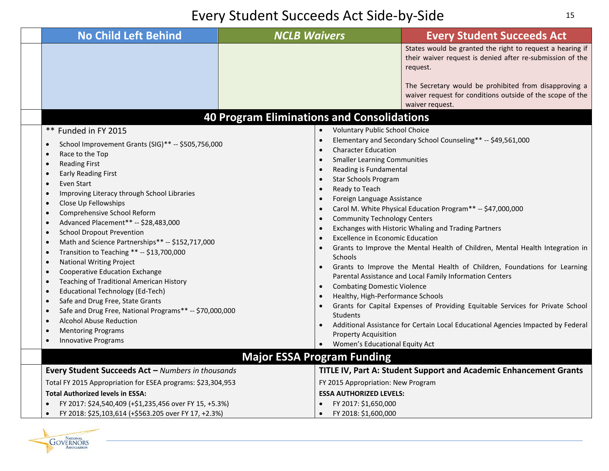| <b>No Child Left Behind</b>                                                                                                                                                                                                                                                                                                                                                                                                                                                                                                                                                                                                                                                                                                                                                                                                                                                                                                                                                                                                                                                            | <b>NCLB Waivers</b>                                                                                                                                                                                                                                                                                                                                                                                                                                                                                                                                                                                                                                                                                    | <b>Every Student Succeeds Act</b>                                                                                                                                                                                                                                                                                                                                                                                                                                                                                                                                                   |
|----------------------------------------------------------------------------------------------------------------------------------------------------------------------------------------------------------------------------------------------------------------------------------------------------------------------------------------------------------------------------------------------------------------------------------------------------------------------------------------------------------------------------------------------------------------------------------------------------------------------------------------------------------------------------------------------------------------------------------------------------------------------------------------------------------------------------------------------------------------------------------------------------------------------------------------------------------------------------------------------------------------------------------------------------------------------------------------|--------------------------------------------------------------------------------------------------------------------------------------------------------------------------------------------------------------------------------------------------------------------------------------------------------------------------------------------------------------------------------------------------------------------------------------------------------------------------------------------------------------------------------------------------------------------------------------------------------------------------------------------------------------------------------------------------------|-------------------------------------------------------------------------------------------------------------------------------------------------------------------------------------------------------------------------------------------------------------------------------------------------------------------------------------------------------------------------------------------------------------------------------------------------------------------------------------------------------------------------------------------------------------------------------------|
|                                                                                                                                                                                                                                                                                                                                                                                                                                                                                                                                                                                                                                                                                                                                                                                                                                                                                                                                                                                                                                                                                        |                                                                                                                                                                                                                                                                                                                                                                                                                                                                                                                                                                                                                                                                                                        | States would be granted the right to request a hearing if<br>their waiver request is denied after re-submission of the<br>request.                                                                                                                                                                                                                                                                                                                                                                                                                                                  |
|                                                                                                                                                                                                                                                                                                                                                                                                                                                                                                                                                                                                                                                                                                                                                                                                                                                                                                                                                                                                                                                                                        |                                                                                                                                                                                                                                                                                                                                                                                                                                                                                                                                                                                                                                                                                                        | The Secretary would be prohibited from disapproving a<br>waiver request for conditions outside of the scope of the<br>waiver request.                                                                                                                                                                                                                                                                                                                                                                                                                                               |
|                                                                                                                                                                                                                                                                                                                                                                                                                                                                                                                                                                                                                                                                                                                                                                                                                                                                                                                                                                                                                                                                                        | <b>40 Program Eliminations and Consolidations</b>                                                                                                                                                                                                                                                                                                                                                                                                                                                                                                                                                                                                                                                      |                                                                                                                                                                                                                                                                                                                                                                                                                                                                                                                                                                                     |
| ** Funded in FY 2015<br>School Improvement Grants (SIG)** -- \$505,756,000<br>$\bullet$<br>Race to the Top<br>$\bullet$<br><b>Reading First</b><br>$\bullet$<br><b>Early Reading First</b><br>$\bullet$<br>Even Start<br>$\bullet$<br>Improving Literacy through School Libraries<br>$\bullet$<br>Close Up Fellowships<br>$\bullet$<br>Comprehensive School Reform<br>$\bullet$<br>Advanced Placement** -- \$28,483,000<br>$\bullet$<br><b>School Dropout Prevention</b><br>$\bullet$<br>Math and Science Partnerships** -- \$152,717,000<br>$\bullet$<br>Transition to Teaching ** -- \$13,700,000<br>$\bullet$<br><b>National Writing Project</b><br>$\bullet$<br>Cooperative Education Exchange<br>$\bullet$<br>Teaching of Traditional American History<br>$\bullet$<br><b>Educational Technology (Ed-Tech)</b><br>$\bullet$<br>Safe and Drug Free, State Grants<br>$\bullet$<br>Safe and Drug Free, National Programs** -- \$70,000,000<br>$\bullet$<br><b>Alcohol Abuse Reduction</b><br>$\bullet$<br><b>Mentoring Programs</b><br>$\bullet$<br>Innovative Programs<br>$\bullet$ | Voluntary Public School Choice<br>$\bullet$<br>$\bullet$<br><b>Character Education</b><br>$\bullet$<br><b>Smaller Learning Communities</b><br>$\bullet$<br>Reading is Fundamental<br>$\bullet$<br><b>Star Schools Program</b><br>$\bullet$<br>Ready to Teach<br>$\bullet$<br>Foreign Language Assistance<br>$\bullet$<br>$\bullet$<br><b>Community Technology Centers</b><br>$\bullet$<br>$\bullet$<br><b>Excellence in Economic Education</b><br>$\bullet$<br>$\bullet$<br><b>Schools</b><br><b>Combating Domestic Violence</b><br>$\bullet$<br>Healthy, High-Performance Schools<br>$\bullet$<br>$\bullet$<br>Students<br>$\bullet$<br><b>Property Acquisition</b><br>Women's Educational Equity Act | Elementary and Secondary School Counseling** -- \$49,561,000<br>Carol M. White Physical Education Program** -- \$47,000,000<br>Exchanges with Historic Whaling and Trading Partners<br>Grants to Improve the Mental Health of Children, Mental Health Integration in<br>Grants to Improve the Mental Health of Children, Foundations for Learning<br>Parental Assistance and Local Family Information Centers<br>Grants for Capital Expenses of Providing Equitable Services for Private School<br>Additional Assistance for Certain Local Educational Agencies Impacted by Federal |
|                                                                                                                                                                                                                                                                                                                                                                                                                                                                                                                                                                                                                                                                                                                                                                                                                                                                                                                                                                                                                                                                                        | <b>Major ESSA Program Funding</b>                                                                                                                                                                                                                                                                                                                                                                                                                                                                                                                                                                                                                                                                      |                                                                                                                                                                                                                                                                                                                                                                                                                                                                                                                                                                                     |
| Every Student Succeeds Act - Numbers in thousands<br>Total FY 2015 Appropriation for ESEA programs: \$23,304,953                                                                                                                                                                                                                                                                                                                                                                                                                                                                                                                                                                                                                                                                                                                                                                                                                                                                                                                                                                       | FY 2015 Appropriation: New Program                                                                                                                                                                                                                                                                                                                                                                                                                                                                                                                                                                                                                                                                     | TITLE IV, Part A: Student Support and Academic Enhancement Grants                                                                                                                                                                                                                                                                                                                                                                                                                                                                                                                   |
| <b>Total Authorized levels in ESSA:</b><br>FY 2017: \$24,540,409 (+\$1,235,456 over FY 15, +5.3%)<br>FY 2018: \$25,103,614 (+\$563.205 over FY 17, +2.3%)<br>$\bullet$                                                                                                                                                                                                                                                                                                                                                                                                                                                                                                                                                                                                                                                                                                                                                                                                                                                                                                                 | <b>ESSA AUTHORIZED LEVELS:</b><br>FY 2017: \$1,650,000<br>FY 2018: \$1,600,000<br>$\bullet$                                                                                                                                                                                                                                                                                                                                                                                                                                                                                                                                                                                                            |                                                                                                                                                                                                                                                                                                                                                                                                                                                                                                                                                                                     |